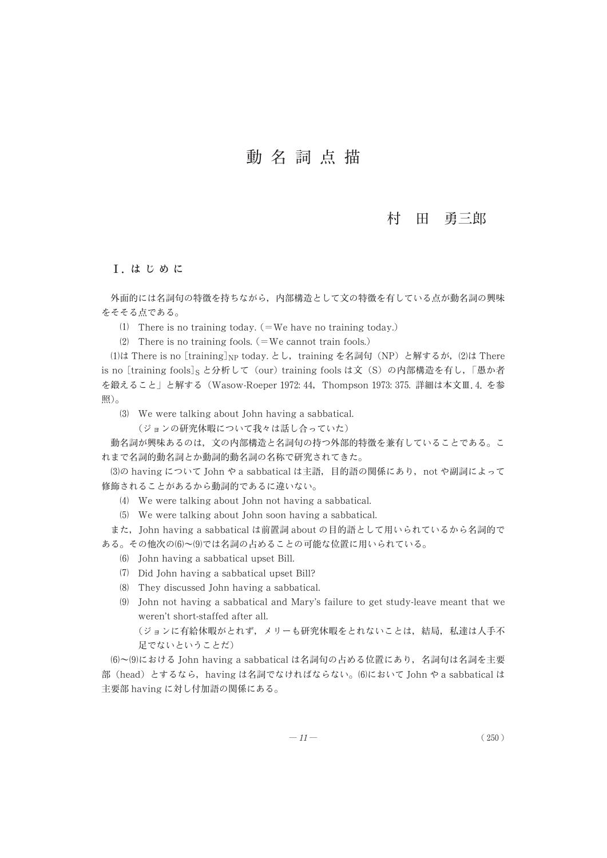## 村 田 勇三郎

## Ⅰ. は じ め に

外面的には名詞句の特徴を持ちながら, 内部構造として文の特徴を有している点が動名詞の興味 をそそる点である。

- There is no training today. (=We have no training today.)
- (2) There is no training fools.  $($  = We cannot train fools.)

(1)は There is no [training] $_{\rm NP}$  today. とし,training を名詞句(NP)と解するが,(2)は There is no [training fools]<sub>S</sub> と分析して (our) training fools は文 (S) の内部構造を有し, 「愚か者 を鍛えること」 と解する (Wasow-Roeper 1972: 44, Thompson 1973: 375. 詳細は本文Ⅲ.4. を参 照)。

- We were talking about John having a sabbatical.
	- (ジョンの研究休暇について我々は話し合っていた)

動名詞が興味あるのは, 文の内部構造と名詞句の持つ外部的特徴を兼有していることである。 こ れまで名詞的動名詞とか動詞的動名詞の名称で研究されてきた。

(3)の having について John や a sabbatical は主語, 目的語の関係にあり, not や副詞によって 修飾されることがあるから動詞的であるに違いない。

- We were talking about John not having a sabbatical.
- We were talking about John soon having a sabbatical.

また, John having a sabbatical は前置詞 about の目的語として用いられているから名詞的で ある。その他次の(6)~(9)では名詞の占めることの可能な位置に用いられている。

- John having a sabbatical upset Bill.
- Did John having a sabbatical upset Bill?
- They discussed John having a sabbatical.
- John not having a sabbatical and Mary's failure to get study-leave meant that we weren't short-staffed after all.

```
(ジョンに有給休暇がとれず, メリーも研究休暇をとれないことは, 結局, 私達は人手不
足でないということだ)
```
(6)~(9)における John having a sabbatical は名詞句の占める位置にあり、名詞句は名詞を主要 部 (head) とするなら, having は名詞でなければならない。 (6)において John や a sabbatical は 主要部 having に対し付加語の関係にある。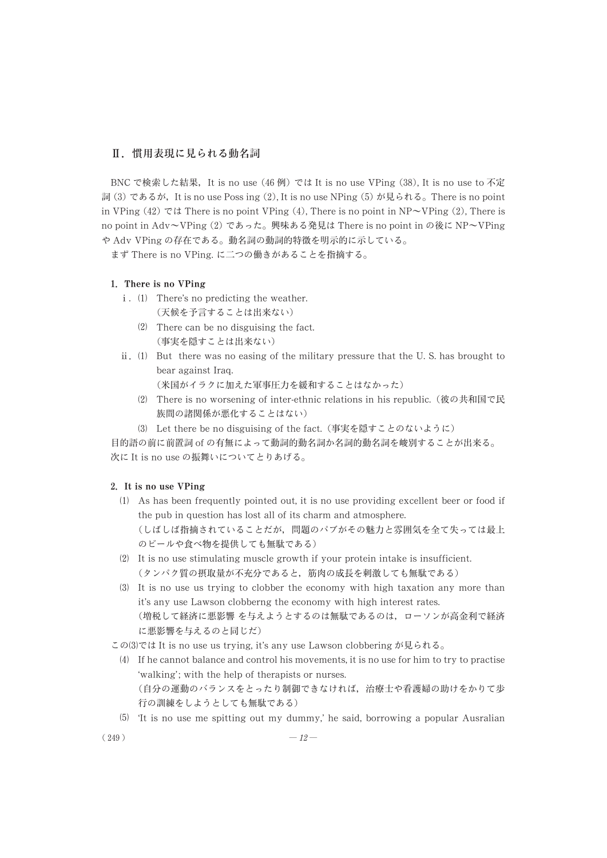## Ⅱ. 慣用表現に見られる動名詞

BNC で検索した結果, It is no use (46 例) では It is no use VPing (38), It is no use to 不定 詞 (3) であるが, It is no use Poss ing (2), It is no use NPing (5) が見られる。 There is no point in VPing (42) では There is no point VPing (4), There is no point in NP $\sim$ VPing (2), There is no point in Adv~VPing (2) であった。 興味ある発見は There is no point in の後に NP~VPing や Adv VPing の存在である。 動名詞の動詞的特徴を明示的に示している。

まず There is no VPing. に二つの働きがあることを指摘する。

## **1**. **There is no VPing**

- i. (1) There's no predicting the weather. (天候を予言することは出来ない)
	- (2) There can be no disguising the fact. (事実を隠すことは出来ない)
- $ii.$  (1) But there was no easing of the military pressure that the U.S. has brought to bear against Iraq.

(米国がイラクに加えた軍事圧力を緩和することはなかった)

- There is no worsening of inter-ethnic relations in his republic. (彼の共和国で民 族間の諸関係が悪化することはない)
- Let there be no disguising of the fact. (事実を隠すことのないように)

目的語の前に前置詞 of の有無によって動詞的動名詞か名詞的動名詞を峻別することが出来る。 次に It is no use の振舞いについてとりあげる。

## **2**. **It is no use VPing**

- $(1)$  As has been frequently pointed out, it is no use providing excellent beer or food if the pub in question has lost all of its charm and atmosphere. (しばしば指摘されていることだが, 問題のパブがその魅力と雰囲気を全て失っては最上 のビールや食べ物を提供しても無駄である)
- $(2)$  It is no use stimulating muscle growth if your protein intake is insufficient. (タンパク質の摂取量が不充分であると, 筋肉の成長を刺激しても無駄である)
- It is no use us trying to clobber the economy with high taxation any more than it's any use Lawson clobberng the economy with high interest rates. (増税して経済に悪影響 を与えようとするのは無駄であるのは, ローソンが高金利で経済 に悪影響を与えるのと同じだ)

このでは It is no use us trying, it's any use Lawson clobbering が見られる。

行の訓練をしようとしても無駄である)

- $(4)$  If he cannot balance and control his movements, it is no use for him to try to practise 'walking'; with the help of therapists or nurses. (自分の運動のバランスをとったり制御できなければ, 治療士や看護婦の助けをかりて歩
- 'It is no use me spitting out my dummy,' he said, borrowing a popular Ausralian

 $(249)$  —  $12$  —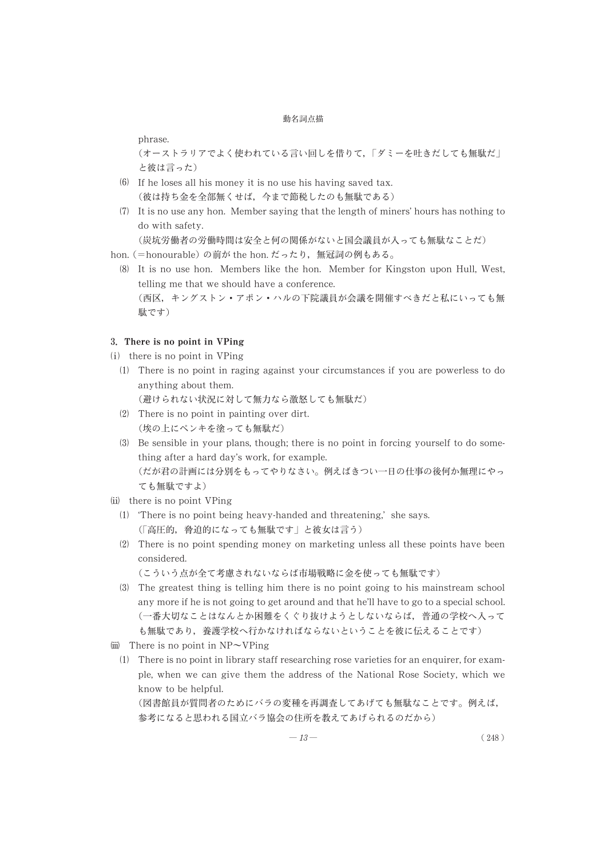phrase.

(オーストラリアでよく使われている言い回しを借りて, 「ダミーを吐きだしても無駄だ」 と彼は言った)

- If he loses all his money it is no use his having saved tax. (彼は持ち金を全部無くせば, 今まで節税したのも無駄である)
- $(7)$  It is no use any hon. Member saying that the length of miners' hours has nothing to do with safety.

(炭坑労働者の労働時間は安全と何の関係がないと国会議員が入っても無駄なことだ)

hon. (=honourable) の前が the hon. だったり, 無冠詞の例もある。

 It is no use hon. Members like the hon. Member for Kingston upon Hull, West, telling me that we should have a conference. (西区, キングストン・アポン・ハルの下院議員が会議を開催すべきだと私にいっても無 駄です)

#### **3**. **There is no point in VPing**

- $(i)$  there is no point in VPing
	- There is no point in raging against your circumstances if you are powerless to do anything about them.

(避けられない状況に対して無力なら激怒しても無駄だ)

- There is no point in painting over dirt. (埃の上にペンキを塗っても無駄だ)
- $(3)$  Be sensible in your plans, though; there is no point in forcing yourself to do something after a hard day's work, for example. (だが君の計画には分別をもってやりなさい。 例えばきつい一日の仕事の後何か無理にやっ ても無駄ですよ)
- $(ii)$  there is no point VPing
	- 'There is no point being heavy-handed and threatening,' she says. (「高圧的, 脅迫的になっても無駄です」 と彼女は言う)
	- There is no point spending money on marketing unless all these points have been considered.

(こういう点が全て考慮されないならば市場戦略に金を使っても無駄です)

- The greatest thing is telling him there is no point going to his mainstream school any more if he is not going to get around and that he'll have to go to a special school. (一番大切なことはなんとか困難をくぐり抜けようとしないならば, 普通の学校へ入って も無駄であり, 養護学校へ行かなければならないということを彼に伝えることです)
- (iii) There is no point in  $NP\sim VP$ ing
	- $(1)$  There is no point in library staff researching rose varieties for an enquirer, for example, when we can give them the address of the National Rose Society, which we know to be helpful.

(図書館員が質問者のためにバラの変種を再調査してあげても無駄なことです。 例えば, 参考になると思われる国立バラ協会の住所を教えてあげられるのだから)

$$
-13 - (248)
$$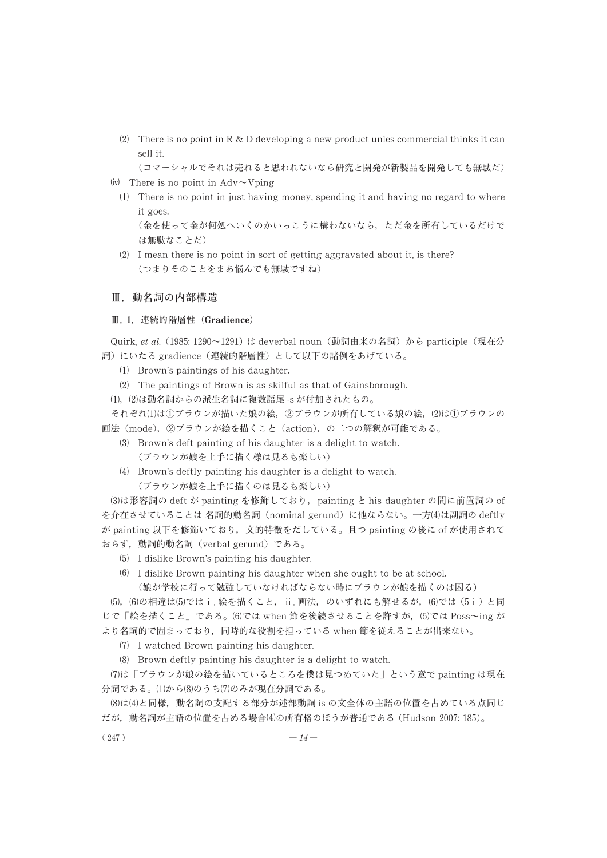(2) There is no point in R & D developing a new product unles commercial thinks it can sell it.

(コマーシャルでそれは売れると思われないなら研究と開発が新製品を開発しても無駄だ)

- $(iv)$  There is no point in Adv $\sim$ Vping
	- $(1)$  There is no point in just having money, spending it and having no regard to where it goes.

(金を使って金が何処へいくのかいっこうに構わないなら, ただ金を所有しているだけで は無駄なことだ)

(2) I mean there is no point in sort of getting aggravated about it, is there? (つまりそのことをまあ悩んでも無駄ですね)

## Ⅲ. 動名詞の内部構造

#### Ⅲ. **1**. 連続的階層性 (**Gradience**)

Quirk, et al. (1985: 1290~1291) は deverbal noun (動詞由来の名詞) から participle (現在分 詞) にいたる gradience (連続的階層性) として以下の諸例をあげている。

- (1) Brown's paintings of his daughter.
- (2) The paintings of Brown is as skilful as that of Gainsborough.

, -は動名詞からの派生名詞に複数語尾 -s が付加されたもの。

それぞれ(1)は①ブラウンが描いた娘の絵,②ブラウンが所有している娘の絵,(2)は①ブラウンの 画法 (mode), ②ブラウンが絵を描くこと (action), の二つの解釈が可能である。

(3) Brown's deft painting of his daughter is a delight to watch. (ブラウンが娘を上手に描く様は見るも楽しい)

Brown's deftly painting his daughter is a delight to watch.

(ブラウンが娘を上手に描くのは見るも楽しい)

は形容詞の deft が painting を修飾しており, painting と his daughter の間に前置詞の of を介在させていることは 名詞的動名詞 (nominal gerund) に他ならない。一方(4)は副詞の deftly が painting 以下を修飾いており, 文的特徴をだしている。 且つ painting の後に of が使用されて おらず, 動詞的動名詞 (verbal gerund) である。

- I dislike Brown's painting his daughter.
- I dislike Brown painting his daughter when she ought to be at school.

(娘が学校に行って勉強していなければならない時にブラウンが娘を描くのは困る)

(5), (6)の相違は(5)ではi. 絵を描くこと, ⅱ. 画法, のいずれにも解せるが,(6)では(5i)と同 じで「絵を描くこと」である。(6)では when 節を後続させることを許すが,⑸では Poss~ing が より名詞的で固まっており, 同時的な役割を担っている when 節を従えることが出来ない。

I watched Brown painting his daughter.

(8) Brown deftly painting his daughter is a delight to watch.

は 「ブラウンが娘の絵を描いているところを僕は見つめていた」 という意で painting は現在 分詞である。(1)から(8)のうち(7)のみが現在分詞である。

はと同様, 動名詞の支配する部分が述部動詞 is の文全体の主語の位置を占めている点同じ だが, 動名詞が主語の位置を占める場合の所有格のほうが普通である (Hudson 2007: 185)。

 $(247)$  —  $14$  —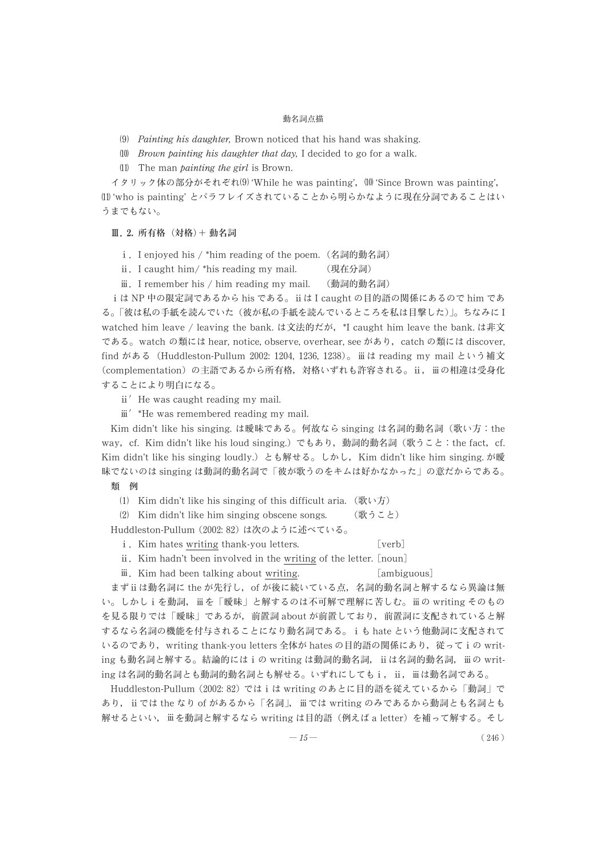(9) Painting his daughter, Brown noticed that his hand was shaking.

 $\Box$  *Brown painting his daughter that day*, I decided to go for a walk.

 $(11)$  The man *painting the girl* is Brown.

イタリック体の部分がそれぞれ(9) 'While he was painting',  $\,$  (10) 'Since Brown was painting', 'who is painting' とパラフレイズされていることから明らかなように現在分詞であることはい うまでもない。

Ⅲ. **2.** 所有格 (対格)+ 動名詞

. I enjoyed his / \*him reading of the poem. (名詞的動名詞)

. I caught him/ \*his reading my mail. (現在分詞)

. I remember his / him reading my mail. (動詞的動名詞)

は NP 中の限定詞であるから his である。 は I caught の目的語の関係にあるので him であ る。 「彼は私の手紙を読んでいた (彼が私の手紙を読んでいるところを私は目撃した)」。 ちなみに I watched him leave / leaving the bank. は文法的だが, \*I caught him leave the bank. は非文 である。 watch の類には hear, notice, observe, overhear, see があり, catch の類には discover, find がある (Huddleston-Pullum 2002: 1204, 1236, 1238)。 は reading my mail という補文 (complementation) の主語であるから所有格, 対格いずれも許容される。 ii, iii の相違は受身化 することにより明白になる。

ii' He was caught reading my mail.

iii' \*He was remembered reading my mail.

Kim didn't like his singing. は曖昧である。 何故なら singing は名詞的動名詞 (歌い方:the way, cf. Kim didn't like his loud singing.) でもあり, 動詞的動名詞 (歌うこと:the fact, cf. Kim didn't like his singing loudly.) とも解せる。 しかし, Kim didn't like him singing. が曖 昧でないのは singing は動詞的動名詞で 「彼が歌うのをキムは好かなかった」 の意だからである。

## 類 例

(1) Kim didn't like his singing of this difficult aria.  $(\Re \cup \overline{f})$ 

Kim didn't like him singing obscene songs. (歌うこと)

Huddleston-Pullum (2002: 82) は次のように述べている。

i. Kim hates writing thank-you letters. [verb]

. Kim hadn't been involved in the writing of the letter. [noun]

iii. Kim had been talking about writing. [ambiguous]

まずは動名詞に the が先行し, of が後に続いている点, 名詞的動名詞と解するなら異論は無 い。しかしiを動詞, iii を「曖昧」と解するのは不可解で理解に苦しむ。 iii の writing そのもの を見る限りでは 「曖昧」 であるが, 前置詞 about が前置しており, 前置詞に支配されていると解 するなら名詞の機能を付与されることになり動名詞である。 も hate という他動詞に支配されて いるのであり, writing thank-you letters 全体が hates の目的語の関係にあり, 従ってiの writing も動名詞と解する。結論的にはiの writing は動詞的動名詞, ii は名詞的動名詞, iiO writing は名詞的動名詞とも動詞的動名詞とも解せる。いずれにしてもi, ii, iiは動名詞である。

Huddleston-Pullum (2002: 82) ではは writing のあとに目的語を従えているから 「動詞」 で あり, ii では the なり of があるから「名詞」, ii では writing のみであるから動詞とも名詞とも 解せるといい、 ii を動詞と解するなら writing は目的語 (例えば a letter) を補って解する。そし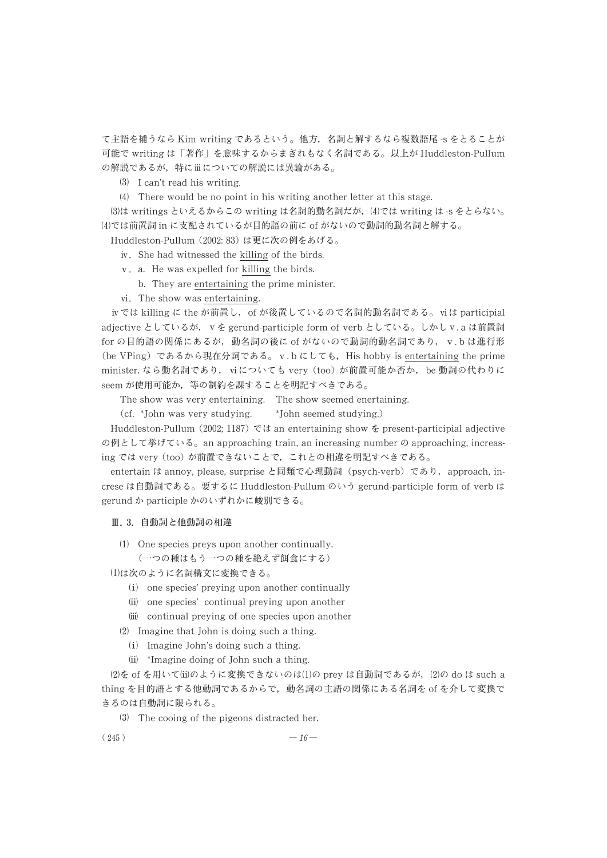て主語を補うなら Kim writing であるという。 他方, 名詞と解するなら複数語尾 -s をとることが 可能で writing は 「著作」 を意味するからまぎれもなく名詞である。 以上が Huddleston-Pullum の解説であるが,特にⅲについての解説には異論がある。

(3) I can't read his writing.

There would be no point in his writing another letter at this stage.

(3)は writings といえるからこの writing は名詞的動名詞だが, (4)では writing は -s をとらない。 では前置詞 in に支配されているが目的語の前に of がないので動詞的動名詞と解する。

Huddleston-Pullum (2002: 83) は更に次の例をあげる。

- . She had witnessed the killing of the birds.
- . a. He was expelled for killing the birds.
- b. They are entertaining the prime minister.
- . The show was entertaining.

では killing に the が前置し, of が後置しているので名詞的動名詞である。 は participial adjective としているが, v を gerund-participle form of verb としている。しかし v.a は前置詞 for の目的語の関係にあるが、動名詞の後に of がないので動詞的動名詞であり、v.b は進行形 (be VPing) であるから現在分詞である。 v.b にしても, His hobby is entertaining the prime minister. なら動名詞であり、viについても very (too) が前置可能か否か、be 動詞の代わりに seem が使用可能か, 等の制約を課することを明記すべきである。

The show was very entertaining. The show seemed enertaining.

(cf. \*John was very studying. \*John seemed studying.)

Huddleston-Pullum (2002; 1187) では an entertaining show を present-participial adjective の例として挙げている。 an approaching train, an increasing number の approaching, increasing では very (too) が前置できないことで, これとの相違を明記すべきである。

entertain は annoy, please, surprise と同類で心理動詞 (psych-verb) であり, approach, increse は自動詞である。 要するに Huddleston-Pullum のいう gerund-participle form of verb は gerund か participle かのいずれかに峻別できる。

#### Ⅲ. **3**. 自動詞と他動詞の相違

(1) One species preys upon another continually.

(一つの種はもう一つの種を絶えず餌食にする)

は次のように名詞構文に変換できる。

- (i) one species' preying upon another continually
- (ii) one species' continual preying upon another
- (iii) continual preying of one species upon another
- $(2)$  Imagine that John is doing such a thing.
	- (i) Imagine John's doing such a thing.
	- \*Imagine doing of John such a thing.

(2)を of を用いて⑾のように変換できないのは(1)の prey は自動詞であるが,(2)の do は such a thing を目的語とする他動詞であるからで, 動名詞の主語の関係にある名詞を of を介して変換で きるのは自動詞に限られる。

The cooing of the pigeons distracted her.

$$
(245) \t-16
$$

$$
-16-
$$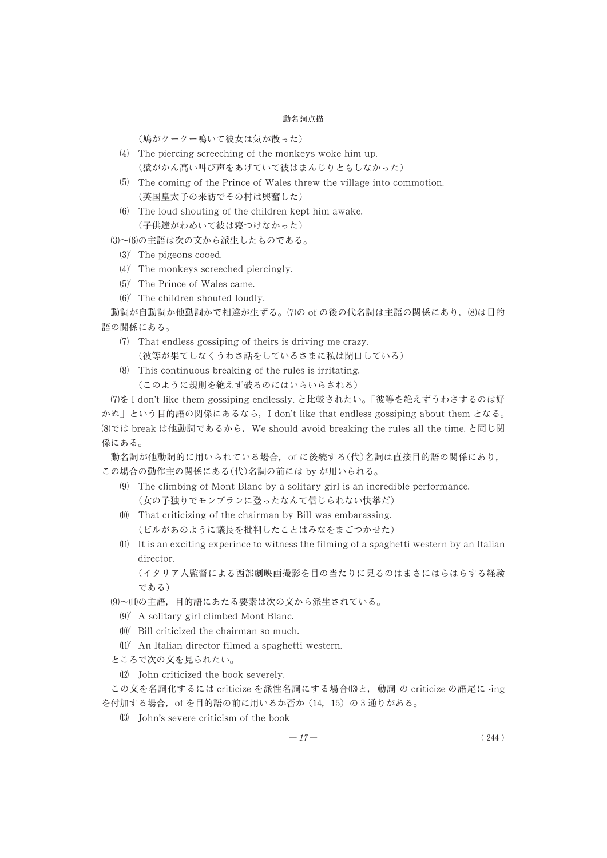(鳩がクークー鳴いて彼女は気が散った)

- (4) The piercing screeching of the monkeys woke him up. (猿がかん高い叫び声をあげていて彼はまんじりともしなかった)
- (5) The coming of the Prince of Wales threw the village into commotion. (英国皇太子の来訪でその村は興奮した)
- The loud shouting of the children kept him awake. (子供達がわめいて彼は寝つけなかった)

(3)~(6)の主語は次の文から派生したものである。

- $(3)'$  The pigeons cooed.
- (4)' The monkeys screeched piercingly.
- $(5)'$  The Prince of Wales came.
- $(6)'$  The children shouted loudly.

動詞が自動詞か他動詞かで相違が生ずる。(7)の of の後の代名詞は主語の関係にあり, (8)は目的 語の関係にある。

- (7) That endless gossiping of theirs is driving me crazy. (彼等が果てしなくうわさ話をしているさまに私は閉口している)
- This continuous breaking of the rules is irritating. (このように規則を絶えず破るのにはいらいらされる)

を I don't like them gossiping endlessly. と比較されたい。 「彼等を絶えずうわさするのは好 かぬ」 という目的語の関係にあるなら, I don't like that endless gossiping about them となる。 では break は他動詞であるから, We should avoid breaking the rules all the time. と同じ関 係にある。

動名詞が他動詞的に用いられている場合, of に後続する(代)名詞は直接目的語の関係にあり, この場合の動作主の関係にある(代)名詞の前には by が用いられる。

- $(9)$  The climbing of Mont Blanc by a solitary girl is an incredible performance. (女の子独りでモンブランに登ったなんて信じられない快挙だ)
- That criticizing of the chairman by Bill was embarassing. (ビルがあのように議長を批判したことはみなをまごつかせた)
- $(1)$  It is an exciting experince to witness the filming of a spaghetti western by an Italian director.

(イタリア人監督による西部劇映画撮影を目の当たりに見るのはまさにはらはらする経験 である)

(9)~(11)の主語, 目的語にあたる要素は次の文から派生されている。

- A solitary girl climbed Mont Blanc.
- Bill criticized the chairman so much.
- An Italian director filmed a spaghetti western.
- ところで次の文を見られたい。
- John criticized the book severely.

この文を名詞化するには criticize を派性名詞にする場合 と, 動詞 の criticize の語尾に -ing を付加する場合, of を目的語の前に用いるか否か (14, 15) の 3 通りがある。

John's severe criticism of the book

$$
-17 - (244)
$$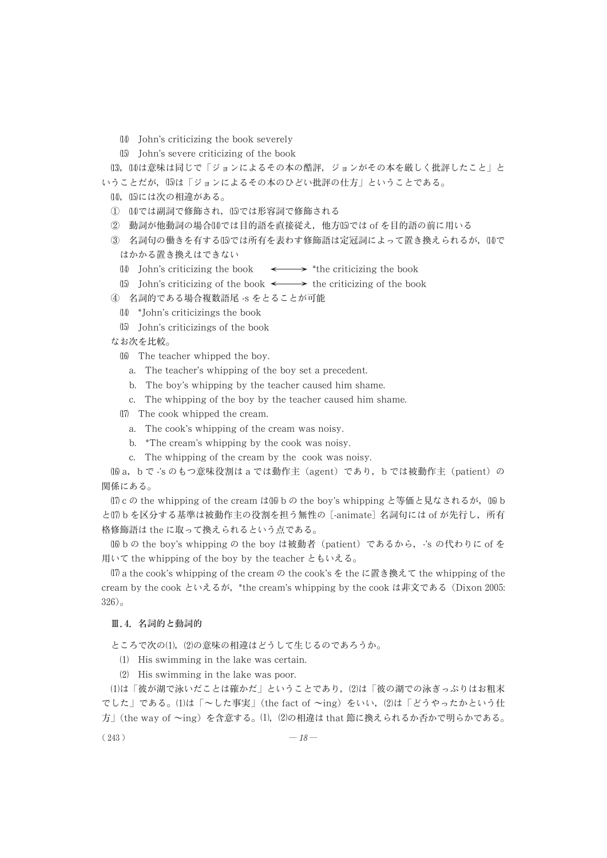- John's criticizing the book severely
- John's severe criticizing of the book

⑴,⑴は意味は同じで│ジョンによるその本の酷評,ジョンがその本を厳しく批評したこと」と いうことだが、 (15)は「ジョンによるその本のひどい批評の仕方」ということである。

- (14), ⑴には次の相違がある。
- ① (14)では副詞で修飾される
- ② 動詞が他動詞の場合⒁では目的語を直接従え,他方⒂では of を目的語の前に用いる
- ③ 名詞句の働きを有する⑾では所有を表わす修飾語は定冠詞によって置き換えられるが,⒁で はかかる置き換えはできない
	- (14) John's criticizing the book  $\longleftrightarrow$  \*the criticizing the book
- (15) John's criticizing of the book  $\longleftrightarrow$  the criticizing of the book
- ④ 名詞的である場合複数語尾 -s をとることが可能
	- \*John's criticizings the book
	- John's criticizings of the book

なお次を比較。

- (16) The teacher whipped the boy.
	- a. The teacher's whipping of the boy set a precedent.
	- b. The boy's whipping by the teacher caused him shame.
	- c. The whipping of the boy by the teacher caused him shame.
- (17) The cook whipped the cream.
	- a. The cook's whipping of the cream was noisy.
	- b. \*The cream's whipping by the cook was noisy.
	- c. The whipping of the cream by the cook was noisy.

 a, b で -'s のもつ意味役割は a では動作主 (agent) であり, b では被動作主 (patient) の 関係にある。

 $(17)$  c の the whipping of the cream は  $(16)$  b の the boy's whipping と等価と見なされるが,  $(16)$  b と b を区分する基準は被動作主の役割を担う無性の [-animate] 名詞句には of が先行し, 所有 格修飾語は the に取って換えられるという点である。

 b の the boy's whipping の the boy は被動者 (patient) であるから, -'s の代わりに of を 用いて the whipping of the boy by the teacher ともいえる。

 $(17)$  a the cook's whipping of the cream  $\varnothing$  the cook's を the に置き換えて the whipping of the cream by the cook といえるが, \*the cream's whipping by the cook は非文である (Dixon 2005: 326)。

#### Ⅲ.**4**. 名詞的と動詞的

ところで次の(1), (2)の意味の相違はどうして生じるのであろうか。

- $(1)$  His swimming in the lake was certain.
- $(2)$  His swimming in the lake was poor.

(1)は「彼が湖で泳いだことは確かだ」ということであり、(2)は「彼の湖での泳ぎっぷりはお粗末 でした」である。(1)は「~した事実」(the fact of ~ing) をいい, (2)は「どうやったかという仕 方」 (the way of  $\sim$ ing) を含意する。 (1), (2)の相違は that 節に換えられるか否かで明らかである。

 $(243)$  —  $18$  —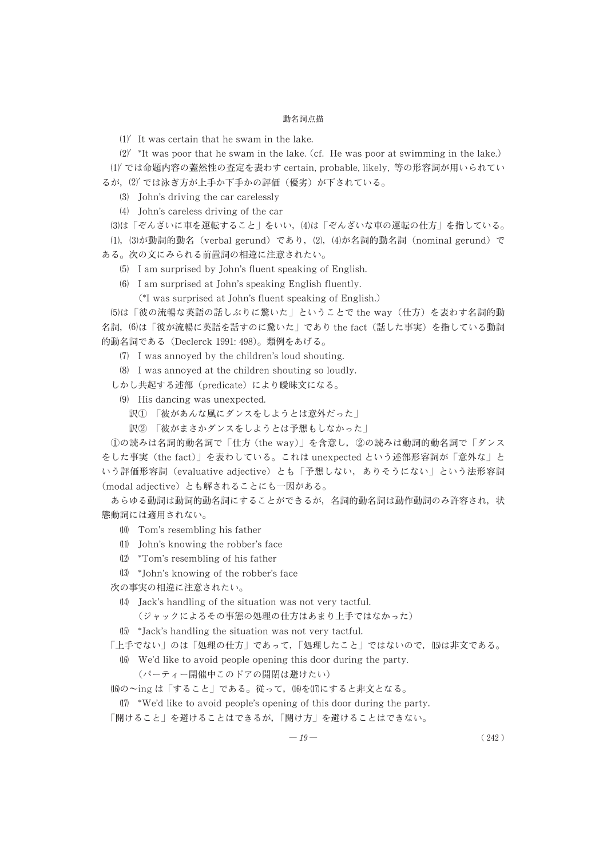-It was certain that he swam in the lake.

 $(2)'$  \*It was poor that he swam in the lake. (cf. He was poor at swimming in the lake.)

-では命題内容の蓋然性の査定を表わす certain, probable, likely, 等の形容詞が用いられてい るが、(2) では泳ぎ方が上手か下手かの評価(優劣) が下されている。

John's driving the car carelessly

John's careless driving of the car

は 「ぞんざいに車を運転すること」 をいい, は 「ぞんざいな車の運転の仕方」 を指している。 (1), (3)が動詞的動名(verbal gerund)であり, (2), (4)が名詞的動名詞(nominal gerund)で ある。 次の文にみられる前置詞の相違に注意されたい。

I am surprised by John's fluent speaking of English.

I am surprised at John's speaking English fluently.

(\*I was surprised at John's fluent speaking of English.)

は 「彼の流暢な英語の話しぶりに驚いた」 ということで the way (仕方) を表わす名詞的動 名詞, は 「彼が流暢に英語を話すのに驚いた」 であり the fact (話した事実) を指している動詞 的動名詞である (Declerck 1991: 498)。 類例をあげる。

 I was annoyed by the children's loud shouting.

I was annoyed at the children shouting so loudly.

しかし共起する述部 (predicate) により曖昧文になる。

 $(9)$  His dancing was unexpected.

- 訳① 「彼があんな風にダンスをしようとは意外だった」
- 訳② 「彼がまさかダンスをしようとは予想もしなかった」

①の読みは名詞的動名詞で 「仕方 (the way)」 を含意し, ②の読みは動詞的動名詞で 「ダンス をした事実 (the fact)」 を表わしている。 これは unexpected という述部形容詞が 「意外な」 と いう評価形容詞 (evaluative adjective) とも 「予想しない, ありそうにない」 という法形容詞 (modal adjective) とも解されることにも一因がある。

あらゆる動詞は動詞的動名詞にすることができるが, 名詞的動名詞は動作動詞のみ許容され, 状 態動詞には適用されない。

- Tom's resembling his father
- John's knowing the robber's face
- \*Tom's resembling of his father
- \*John's knowing of the robber's face

次の事実の相違に注意されたい。

Jack's handling of the situation was not very tactful.

(ジャックによるその事態の処理の仕方はあまり上手ではなかった)

\*Jack's handling the situation was not very tactful.

「上手でない」のは「処理の仕方」であって、「処理したこと」ではないので、15は非文である。

We'd like to avoid people opening this door during the party.

(パーティー開催中このドアの開閉は避けたい)

(16)の~ing は「すること」である。従って, (16)を(17)にすると非文となる。

 $\langle 17 \rangle$  \*We'd like to avoid people's opening of this door during the party.

「開けること」 を避けることはできるが, 「開け方」 を避けることはできない。

$$
-19 - (242)
$$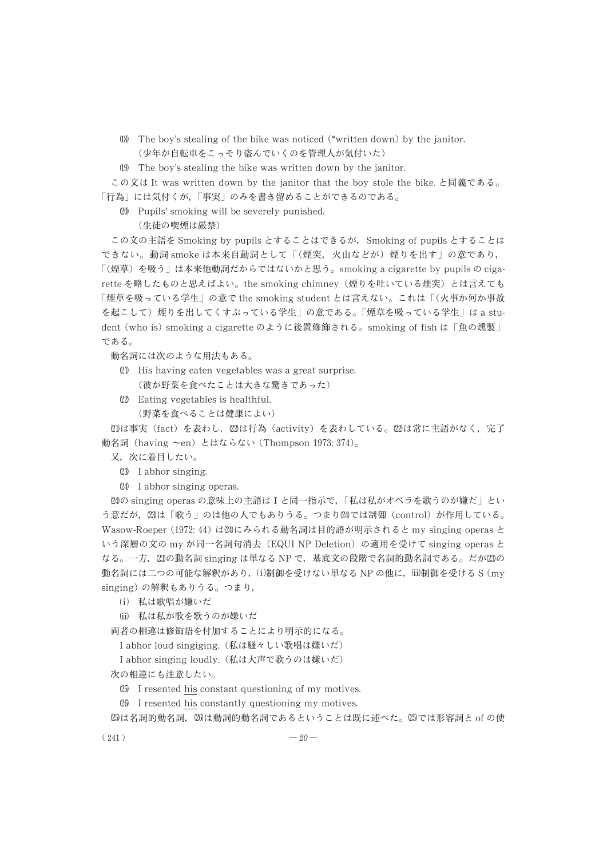- The boy's stealing of the bike was noticed (\*written down) by the janitor. (少年が自転車をこっそり盗んでいくのを管理人が気付いた)
- The boy's stealing the bike was written down by the janitor.

この文は It was written down by the janitor that the boy stole the bike. と同義である。 「行為」 には気付くが, 「事実」 のみを書き留めることができるのである。

Pupils' smoking will be severely punished.

(生徒の喫煙は厳禁)

この文の主語を Smoking by pupils とすることはできるが, Smoking of pupils とすることは できない。 動詞 smoke は本来自動詞として 「(煙突, 火山などが) 煙りを出す」 の意であり, 「(煙草) を吸う」 は本来他動詞だからではないかと思う。 smoking a cigarette by pupils の cigarette を略したものと思えばよい。 the smoking chimney (煙りを吐いている煙突) とは言えても 「煙草を吸っている学生」 の意で the smoking student とは言えない。 これは 「(火事か何か事故 を起こして) 煙りを出してくすぶっている学生」 の意である。 「煙草を吸っている学生」 は a student (who is) smoking a cigarette のように後置修飾される。 smoking of fish は 「魚の燻製」 である。

動名詞には次のような用法もある。

- His having eaten vegetables was a great surprise. (彼が野菜を食べたことは大きな驚きであった)
- Eating vegetables is healthful. (野菜を食べることは健康によい)

は事実 (fact) を表わし, は行為 (activity) を表わしている。 は常に主語がなく, 完了 動名詞 (having  $\sim$ en) とはならない (Thompson 1973: 374)。

又, 次に着目したい。

- (23) I abhor singing.
- I abhor singing operas.

の singing operas の意味上の主語はⅠと同一指示で, 「私は私がオペラを歌うのが嫌だ」 とい う意だが,⑵は「歌う」のは他の人でもありうる。つまり⑵では制御(control)が作用している。 Wasow-Roeper (1972: 44) はにみられる動名詞は目的語が明示されると my singing operas と いう深層の文の my が同一名詞句消去 (EQUI NP Deletion) の適用を受けて singing operas と なる。 一方, の動名詞 singing は単なる NP で, 基底文の段階で名詞的動名詞である。 だがの 動名詞には二つの可能な解釈があり,⑴制御を受けない単なる NP の他に,⑾制御を受ける S (my singing) の解釈もありうる。 つまり,

- (i) 私は歌唱が嫌いだ
- $\mathrm{(ii)}$  私は私が歌を歌うのが嫌いだ

両者の相違は修飾語を付加することにより明示的になる。

I abhor loud singiging. (私は騒々しい歌唱は嫌いだ)

I abhor singing loudly. (私は大声で歌うのは嫌いだ)

次の相違にも注意したい。

 $25$  I resented his constant questioning of my motives.

 I resented his constantly questioning my motives.

 $@$ は名詞的動名詞,  $@$ は動詞的動名詞であるということは既に述べた。 ②では形容詞と of の使

 $(241)$   $-20$  —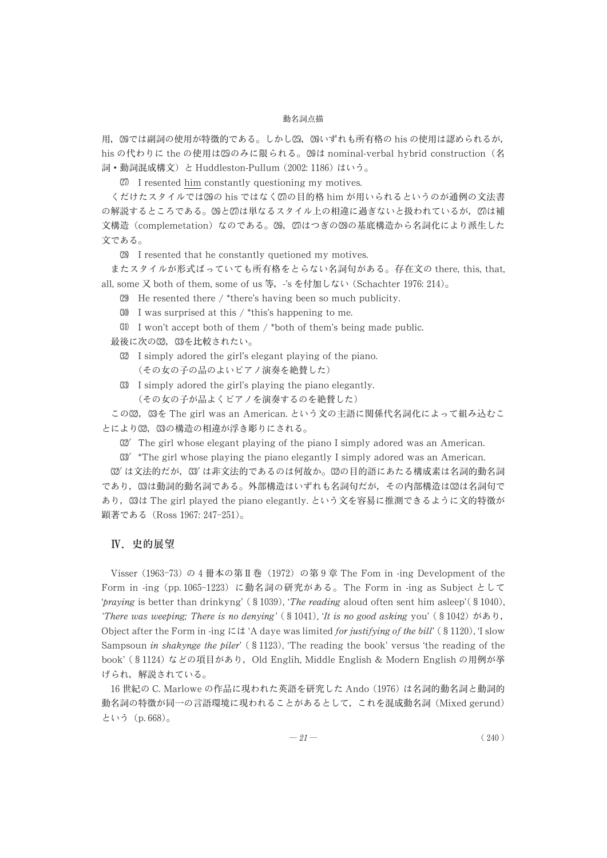用,20では副詞の使用が特徴的である。しかし25,20いずれも所有格の his の使用は認められるが, his の代わりに the の使用は饧のみに限られる。⑵は nominal-verbal hybrid construction(名 詞・動詞混成構文) と Huddleston-Pullum (2002: 1186) はいう。

I resented him constantly questioning my motives.

くだけたスタイルでは26の his ではなく⑵の目的格 him が用いられるというのが通例の文法書 の解説するところである。20と27は単なるスタイル上の相違に過ぎないと扱われているが,27は補 文構造(complemetation)なのである。⑵8,⑵はつぎの⑵の基底構造から名詞化により派生した 文である。

I resented that he constantly quetioned my motives.

またスタイルが形式ばっていても所有格をとらない名詞句がある。 存在文の there, this, that, all, some 又 both of them, some of us 等, -'s を付加しない (Schachter 1976: 214)。

 $(29)$  He resented there / \*there's having been so much publicity.

 $30$  I was surprised at this / \*this's happening to me.

 $(31)$  I won't accept both of them / \*both of them's being made public.

最後に次の⑶2, ⑶を比較されたい。

- I simply adored the girl's elegant playing of the piano. (その女の子の品のよいピアノ演奏を絶賛した)
- I simply adored the girl's playing the piano elegantly. (その女の子が品よくピアノを演奏するのを絶賛した)

この82,83を The girl was an American. という文の主語に関係代名詞化によって組み込むこ とにより⑶2,⑶の構造の相違が浮き彫りにされる。

 $32'$  The girl whose elegant playing of the piano I simply adored was an American.

 $33^{\prime}$  \*The girl whose playing the piano elegantly I simply adored was an American.

(32′ は文法的だが, (33′ は非文法的であるのは何故か。(32の目的語にあたる構成素は名詞的動名詞 であり,63は動詞的動名詞である。外部構造はいずれも名詞句だが,その内部構造は62は名詞句で あり, は The girl played the piano elegantly. という文を容易に推測できるように文的特徴が 顕著である (Ross 1967: 247-251)。

#### Ⅳ. 史的展望

Visser (1963-73) の 4 冊本の第Ⅱ巻 (1972) の第 9 章 The Fom in -ing Development of the Form in -ing (pp. 1065-1223) に動名詞の研究がある。 The Form in -ing as Subject として 'praying is better than drinkyng' (§1039), 'The reading aloud often sent him asleep' (§1040), 'There was weeping; There is no denying' (§1041), 'It is no good asking you' (§1042) があり, Object after the Form in -ing には 'A daye was limited for justifying of the bill' (§1120), 'I slow Sampsoun in shakynge the piler' (§1123), 'The reading the book' versus 'the reading of the book' (§1124) などの項目があり, Old Englih, Middle English & Modern English の用例が挙 げられ, 解説されている。

16 世紀の C. Marlowe の作品に現われた英語を研究した Ando (1976) は名詞的動名詞と動詞的 動名詞の特徴が同一の言語環境に現われることがあるとして, これを混成動名詞 (Mixed gerund) という (p. 668)。

$$
-21 - (240)
$$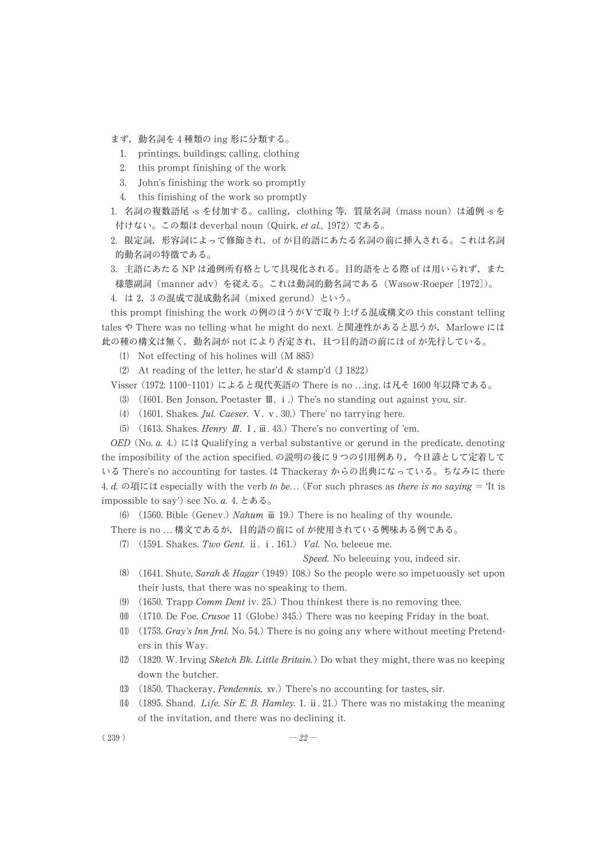まず, 動名詞を 4 種類の ing 形に分類する。

- 1. printings, buildings; calling, clothing
- 2. this prompt finishing of the work
- 3. John's finishing the work so promptly
- 4. this finishing of the work so promptly

1. 名詞の複数語尾 -s を付加する。 calling, clothing 等, 質量名詞 (mass noun) は通例 -s を 付けない。 この類は deverbal noun (Quirk, et al., 1972) である。

2. 限定詞, 形容詞によって修飾され, of が目的語にあたる名詞の前に挿入される。 これは名詞 的動名詞の特徴である。

3. 主語にあたる NP は通例所有格として具現化される。 目的語をとる際 of は用いられず, また 様態副詞 (manner adv) を従える。 これは動詞的動名詞である (Wasow-Roeper [1972])。

4. は 2, 3 の混成で混成動名詞 (mixed gerund) という。

this prompt finishing the work の例のほうがⅤで取り上げる混成構文の this constant telling tales や There was no telling what he might do next. と関連性があると思うが, Marlowe には 此の種の構文は無く, 動名詞が not により否定され, 且つ目的語の前には of が先行している。

- Not effecting of his holines will (M 885)
- At reading of the letter, he star'd & stamp'd (J 1822)

Visser (1972: 1100-1101) によると現代英語の There is no . . .ing. は凡そ 1600 年以降である。

- (3) (1601. Ben Jonson, Poetaster  $\mathbb{I}$ , i.) The's no standing out against you, sir.
- (4)  $(1601. Shakes. \textit{Jul. Caesar. V. v. } 30.)$  There' no tarrying here.
- (5) (1613. Shakes. Henry  $I\!I$ . I.  $\tilde{m}$ . 43.) There's no converting of 'em.

OED (No. *a.* 4.) には Qualifying a verbal substantive or gerund in the predicate, denoting the imposibility of the action specified. の説明の後に 9 つの引用例あり, 今日諺として定着して いる There's no accounting for tastes. は Thackeray からの出典になっている。 ちなみに there 4. d. の項には especially with the verb to be... (For such phrases as there is no saying = 'It is impossible to say') see No.  $a$ . 4. とある。

(6)  $(1560.$  Bible (Genev.) Nahum  $\ddot{\text{iii}}$  19.) There is no healing of thy wounde.

- There is no ... 構文であるが、目的語の前に of が使用されている興味ある例である。
	- $(7)$   $(1591. Shakes. Two Gent. ii. i. 161.)$  Val. No, beleeue me.

Speed. No beleeuing you, indeed sir.

- (1641. Shute, Sarah & Hagar (1949) 108.) So the people were so impetuously set upon their lusts, that there was no speaking to them.
- (9)  $(1650.$  Trapp *Comm Dent* iv. 25.) Thou thinkest there is no removing thee.
- $(10)$   $(1710)$ . De Foe. Crusoe 11 (Globe) 345.) There was no keeping Friday in the boat.
- (1)  $(1753. \text{Gray's } \text{Inn } \text{Jml. No. } 54.)$  There is no going any where without meeting Pretenders in this Way.
- $(12)$   $(1820. W.$  Irving *Sketch Bk. Little Britain.*) Do what they might, there was no keeping down the butcher.
- (13)  $(1850. \text{Thackeray}, \text{Pendennis}, \text{ xv.})$  There's no accounting for tastes, sir.
- (14) (1895. Shand. *Life. Sir E. B. Hamley.* 1. ii. 21.) There was no mistaking the meaning of the invitation, and there was no declining it.

 $(239)$  —  $22$  —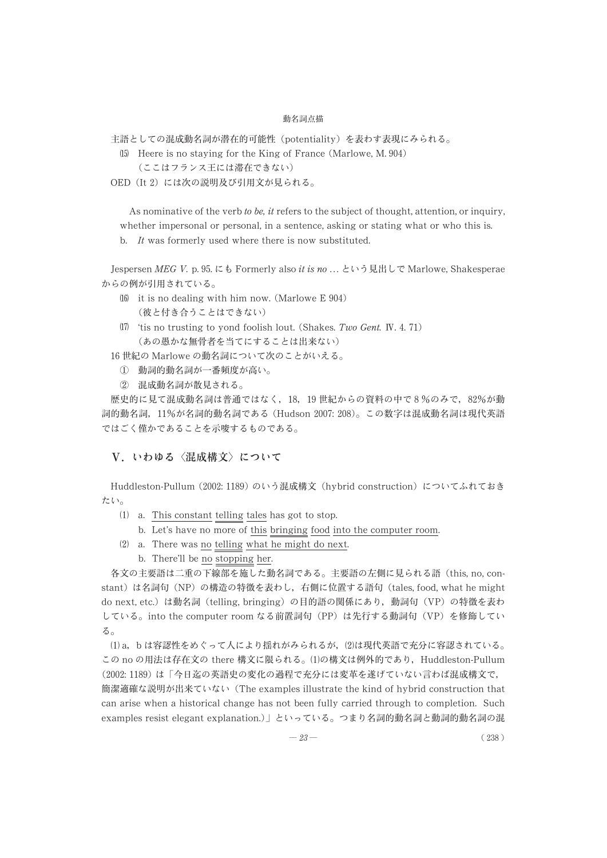主語としての混成動名詞が潜在的可能性 (potentiality) を表わす表現にみられる。

- Heere is no staying for the King of France (Marlowe, M. 904)
	- (ここはフランス王には滞在できない)
- OED (It 2) には次の説明及び引用文が見られる。

As nominative of the verb to be, it refers to the subject of thought, attention, or inquiry, whether impersonal or personal, in a sentence, asking or stating what or who this is.

b. It was formerly used where there is now substituted.

Jespersen MEG V. p. 95. にも Formerly also it is no ... という見出しで Marlowe, Shakesperae からの例が引用されている。

- $16$  it is no dealing with him now. (Marlowe E 904) (彼と付き合うことはできない)
- 'tis no trusting to yond foolish lout. (Shakes. Two Gent. Ⅳ. 4. 71) (あの愚かな無骨者を当てにすることは出来ない)
- 16 世紀の Marlowe の動名詞について次のことがいえる。
	- ① 動詞的動名詞が一番頻度が高い。
	- ② 混成動名詞が散見される。

歴史的に見て混成動名詞は普通ではなく, 18, 19 世紀からの資料の中で 8 %のみで, 82%が動 詞的動名詞, 11%が名詞的動名詞である (Hudson 2007: 208)。 この数字は混成動名詞は現代英語 ではごく僅かであることを示唆するものである。

## V.いわゆる〈混成構文〉について

Huddleston-Pullum (2002: 1189) のいう混成構文 (hybrid construction) についてふれておき たい。

- $(1)$  a. This constant telling tales has got to stop.
	- b. Let's have no more of this bringing food into the computer room.
- $(2)$  a. There was no telling what he might do next.
	- b. There'll be no stopping her.

各文の主要語は二重の下線部を施した動名詞である。 主要語の左側に見られる語 (this, no, constant) は名詞句 (NP) の構造の特徴を表わし, 右側に位置する語句 (tales, food, what he might do next, etc.) は動名詞 (telling, bringing) の目的語の関係にあり, 動詞句 (VP) の特徴を表わ している。 into the computer room なる前置詞句 (PP) は先行する動詞句 (VP) を修飾してい る。

 a, b は容認性をめぐって人により揺れがみられるが, は現代英語で充分に容認されている。 この no の用法は存在文の there 構文に限られる。(1)の構文は例外的であり, Huddleston-Pullum (2002: 1189) は 「今日迄の英語史の変化の過程で充分には変革を遂げていない言わば混成構文で, 簡潔適確な説明が出来ていない (The examples illustrate the kind of hybrid construction that can arise when a historical change has not been fully carried through to completion. Such examples resist elegant explanation.)」 といっている。 つまり名詞的動名詞と動詞的動名詞の混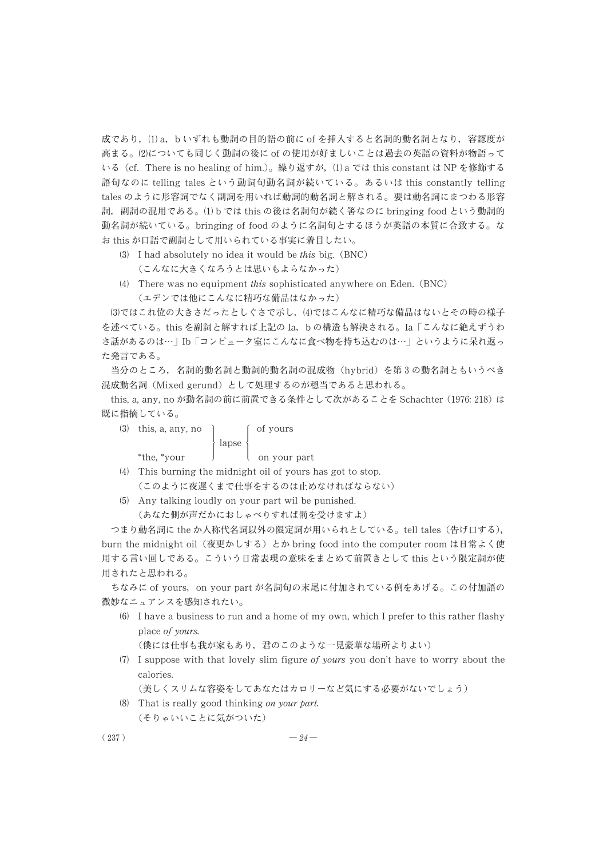成であり,(1) a,bいずれも動詞の目的語の前に of を挿入すると名詞的動名詞となり, 容認度が 高まる。 についても同じく動詞の後に of の使用が好ましいことは過去の英語の資料が物語って いる(cf. There is no healing of him.)。繰り返すが,(1) a では this constant は NP を修飾する 語句なのに telling tales という動詞句動名詞が続いている。 あるいは this constantly telling tales のように形容詞でなく副詞を用いれば動詞的動名詞と解される。 要は動名詞にまつわる形容 詞,副詞の混用である。(1) b では this の後は名詞句が続く筈なのに bringing food という動詞的 動名詞が続いている。 bringing of food のように名詞句とするほうが英語の本質に合致する。 な お this が口語で副詞として用いられている事実に着目したい。

- $(3)$  I had absolutely no idea it would be this big.  $(BNC)$ (こんなに大きくなろうとは思いもよらなかった)
- There was no equipment this sophisticated anywhere on Eden. (BNC) (エデンでは他にこんなに精巧な備品はなかった)

(3)ではこれ位の大きさだったとしぐさで示し、(4)ではこんなに精巧な備品はないとその時の様子 を述べている。 this を副詞と解すれば上記の Ia, b の構造も解決される。 Ia 「こんなに絶えずうわ さ話があるのは…」 Ib 「コンピュータ室にこんなに食べ物を持ち込むのは…」 というように呆れ返っ た発言である。

当分のところ, 名詞的動名詞と動詞的動名詞の混成物 (hybrid) を第 3 の動名詞ともいうべき 混成動名詞 (Mixed gerund) として処理するのが穏当であると思われる。

this, a, any, no が動名詞の前に前置できる条件として次があることを Schachter (1976: 218) は 既に指摘している。

| $(3)$ this, a, any, no |                        | of yours     |
|------------------------|------------------------|--------------|
|                        | $\{ \text{ lapse } \}$ |              |
| *the. *vour            |                        | on your part |

- This burning the midnight oil of yours has got to stop. (このように夜遅くまで仕事をするのは止めなければならない)
- Any talking loudly on your part wil be punished. (あなた側が声だかにおしゃべりすれば罰を受けますよ)

つまり動名詞に the か人称代名詞以外の限定詞が用いられとしている。 tell tales (告げ口する), burn the midnight oil (夜更かしする) とか bring food into the computer room は日常よく使 用する言い回しである。 こういう日常表現の意味をまとめて前置きとして this という限定詞が使 用されたと思われる。

ちなみに of yours, on your part が名詞句の末尾に付加されている例をあげる。 この付加語の 微妙なニュアンスを感知されたい。

 I have a business to run and a home of my own, which I prefer to this rather flashy place of yours.

(僕には仕事も我が家もあり, 君のこのような一見豪華な場所よりよい)

 $(7)$  I suppose with that lovely slim figure of yours you don't have to worry about the calories.

(美しくスリムな容姿をしてあなたはカロリーなど気にする必要がないでしょう)

 That is really good thinking on your part. (そりゃいいことに気がついた)

$$
(237)
$$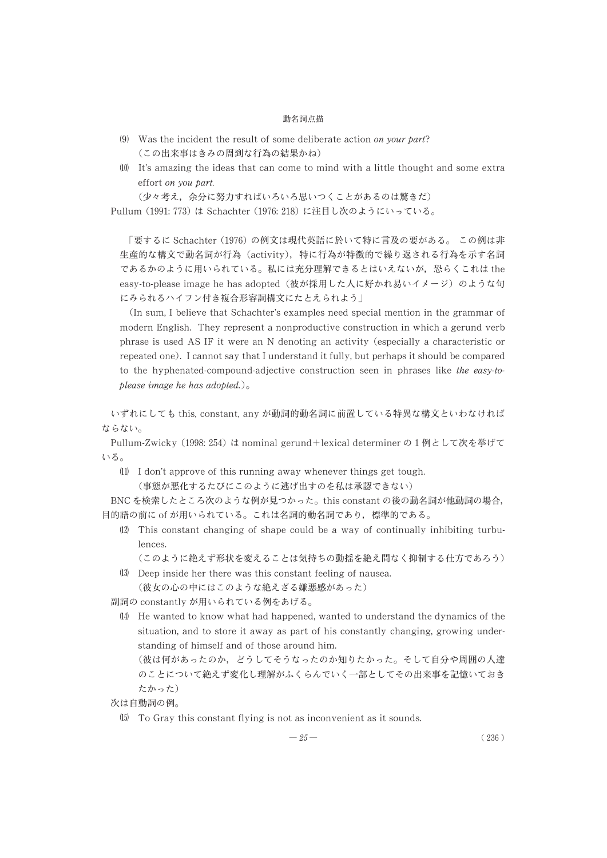- (9) Was the incident the result of some deliberate action on your part? (この出来事はきみの周到な行為の結果かね)
- It's amazing the ideas that can come to mind with a little thought and some extra effort on you part.

(少々考え, 余分に努力すればいろいろ思いつくことがあるのは驚きだ)

Pullum (1991: 773) は Schachter (1976: 218) に注目し次のようにいっている。

「要するに Schachter (1976) の例文は現代英語に於いて特に言及の要がある。 この例は非 生産的な構文で動名詞が行為 (activity), 特に行為が特徴的で繰り返される行為を示す名詞 であるかのように用いられている。 私には充分理解できるとはいえないが, 恐らくこれは the easy-to-please image he has adopted (彼が採用した人に好かれ易いイメージ) のような句 にみられるハイフン付き複合形容詞構文にたとえられよう」

(In sum, I believe that Schachter's examples need special mention in the grammar of modern English. They represent a nonproductive construction in which a gerund verb phrase is used AS IF it were an N denoting an activity (especially a characteristic or repeated one). I cannot say that I understand it fully, but perhaps it should be compared to the hyphenated-compound-adjective construction seen in phrases like the easy-toplease image he has adopted.)。

いずれにしても this, constant, any が動詞的動名詞に前置している特異な構文といわなければ ならない。

Pullum-Zwicky (1998: 254) は nominal gerund+lexical determiner の 1 例として次を挙げて いる。

 $(1)$  I don't approve of this running away whenever things get tough. (事態が悪化するたびにこのように逃げ出すのを私は承認できない)

BNC を検索したところ次のような例が見つかった。 this constant の後の動名詞が他動詞の場合, 目的語の前に of が用いられている。 これは名詞的動名詞であり, 標準的である。

- This constant changing of shape could be a way of continually inhibiting turbulences.
	- (このように絶えず形状を変えることは気持ちの動揺を絶え間なく抑制する仕方であろう)
- Deep inside her there was this constant feeling of nausea. (彼女の心の中にはこのような絶えざる嫌悪感があった)

副詞の constantly が用いられている例をあげる。

 He wanted to know what had happened, wanted to understand the dynamics of the situation, and to store it away as part of his constantly changing, growing understanding of himself and of those around him.

(彼は何があったのか, どうしてそうなったのか知りたかった。 そして自分や周囲の人達 のことについて絶えず変化し理解がふくらんでいく一部としてその出来事を記憶いておき たかった)

次は自動詞の例。

To Gray this constant flying is not as inconvenient as it sounds.

$$
-25 - (236)
$$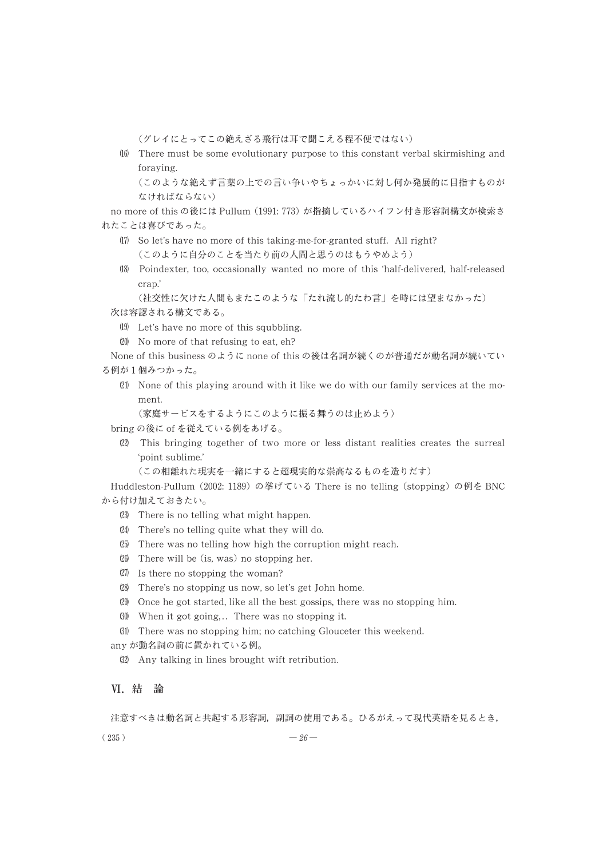(グレイにとってこの絶えざる飛行は耳で聞こえる程不便ではない)

- There must be some evolutionary purpose to this constant verbal skirmishing and foraying.

(このような絶えず言葉の上での言い争いやちょっかいに対し何か発展的に目指すものが なければならない)

no more of this の後には Pullum (1991: 773) が指摘しているハイフン付き形容詞構文が検索さ れたことは喜びであった。

- So let's have no more of this taking-me-for-granted stuff. All right? (このように自分のことを当たり前の人間と思うのはもうやめよう)
- Poindexter, too, occasionally wanted no more of this 'half-delivered, half-released crap.'

```
(社交性に欠けた人間もまたこのような 「たれ流し的たわ言」 を時には望まなかった)
次は容認される構文である。
```
- Let's have no more of this squbbling.
- (20) No more of that refusing to eat, eh?

```
None of this business のように none of this の後は名詞が続くのが普通だが動名詞が続いてい
```
- る例が 1 個みつかった。
	- None of this playing around with it like we do with our family services at the moment.

```
(家庭サービスをするようにこのように振る舞うのは止めよう)
```
bring の後に of を従えている例をあげる。

 This bringing together of two more or less distant realities creates the surreal 'point sublime.'

(この相離れた現実を一緒にすると超現実的な崇高なるものを造りだす)

Huddleston-Pullum (2002: 1189) の挙げている There is no telling (stopping) の例を BNC から付け加えておきたい。

- There is no telling what might happen.
- There's no telling quite what they will do.
- There was no telling how high the corruption might reach.
- There will be (is, was) no stopping her.
- $\langle 27 \rangle$  Is there no stopping the woman?
- There's no stopping us now, so let's get John home.
- Once he got started, like all the best gossips, there was no stopping him.
- (30) When it got going,.. There was no stopping it.
- There was no stopping him; no catching Glouceter this weekend.

any が動名詞の前に置かれている例。

Any talking in lines brought wift retribution.

## Ⅵ. 結 論

注意すべきは動名詞と共起する形容詞, 副詞の使用である。 ひるがえって現代英語を見るとき,

 $(235)$   $-26$  —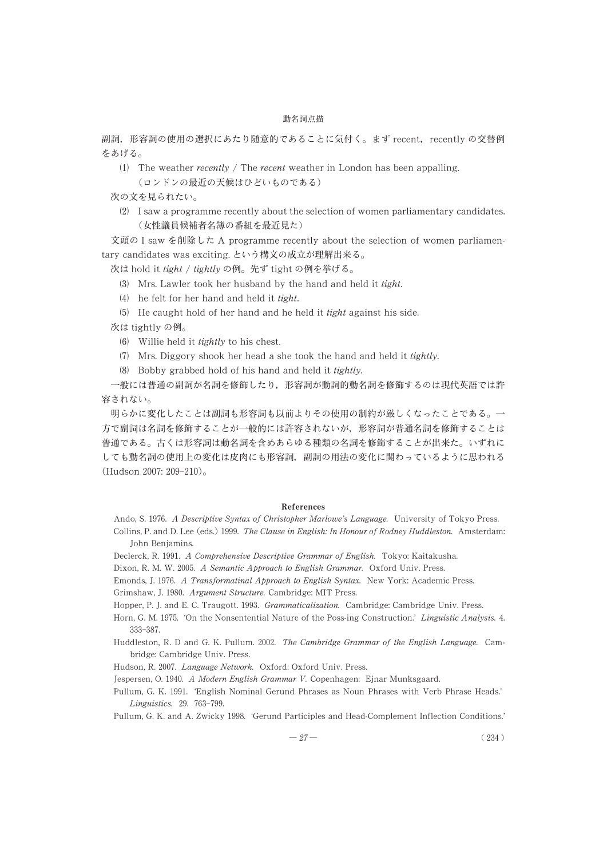副詞, 形容詞の使用の選択にあたり随意的であることに気付く。 まず recent, recently の交替例 をあげる。

(1) The weather *recently / The recent* weather in London has been appalling. (ロンドンの最近の天候はひどいものである)

次の文を見られたい。

 I saw a programme recently about the selection of women parliamentary candidates. (女性議員候補者名簿の番組を最近見た)

文頭の I saw を削除した A programme recently about the selection of women parliamentary candidates was exciting. という構文の成立が理解出来る。

次は hold it tight / tightly の例。先ず tight の例を挙げる。

- Mrs. Lawler took her husband by the hand and held it tight.
- (4) he felt for her hand and held it  $tight$ .
- $(5)$  He caught hold of her hand and he held it *tight* against his side.

次は tightly の例。

- Willie held it tightly to his chest.
- $(7)$  Mrs. Diggory shook her head a she took the hand and held it tightly.
- $(8)$  Bobby grabbed hold of his hand and held it tightly.

一般には普通の副詞が名詞を修飾したり, 形容詞が動詞的動名詞を修飾するのは現代英語では許 容されない。

明らかに変化したことは副詞も形容詞も以前よりその使用の制約が厳しくなったことである。 一 方で副詞は名詞を修飾することが一般的には許容されないが, 形容詞が普通名詞を修飾することは 普通である。 古くは形容詞は動名詞を含めあらゆる種類の名詞を修飾することが出来た。 いずれに しても動名詞の使用上の変化は皮肉にも形容詞, 副詞の用法の変化に関わっているように思われる (Hudson 2007: 209-210)。

#### **References**

- Ando, S. 1976. A Descriptive Syntax of Christopher Marlowe's Language. University of Tokyo Press. Collins, P. and D. Lee (eds.) 1999. The Clause in English: In Honour of Rodney Huddleston. Amsterdam: John Benjamins.
- Declerck, R. 1991. A Comprehensive Descriptive Grammar of English. Tokyo: Kaitakusha.
- Dixon, R. M. W. 2005. A Semantic Approach to English Grammar. Oxford Univ. Press.
- Emonds, J. 1976. A Transformatinal Approach to English Syntax. New York: Academic Press.
- Grimshaw, J. 1980. Argument Structure. Cambridge: MIT Press.
- Hopper, P. J. and E. C. Traugott. 1993. Grammaticalization. Cambridge: Cambridge Univ. Press.
- Horn, G. M. 1975. 'On the Nonsentential Nature of the Poss-ing Construction.' Linguistic Analysis. 4. 333-387.
- Huddleston, R. D and G. K. Pullum. 2002. The Cambridge Grammar of the English Language. Cambridge: Cambridge Univ. Press.
- Hudson, R. 2007. Language Network. Oxford: Oxford Univ. Press.
- Jespersen, O. 1940. A Modern English Grammar V. Copenhagen: Ejnar Munksgaard.
- Pullum, G. K. 1991. 'English Nominal Gerund Phrases as Noun Phrases with Verb Phrase Heads.' Linguistics. 29. 763-799.
- Pullum, G. K. and A. Zwicky 1998. 'Gerund Participles and Head-Complement Inflection Conditions.'

$$
-27 - (234)
$$